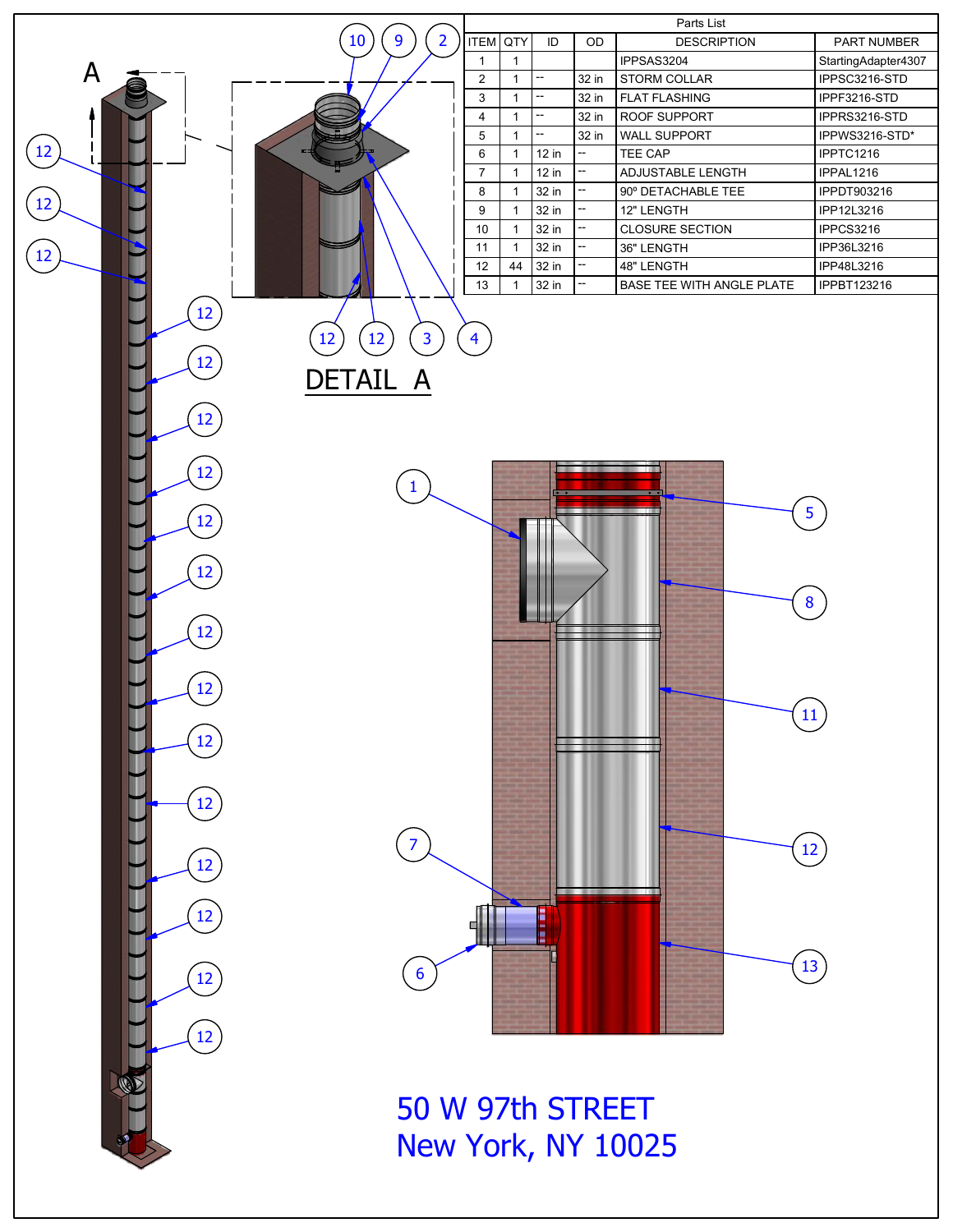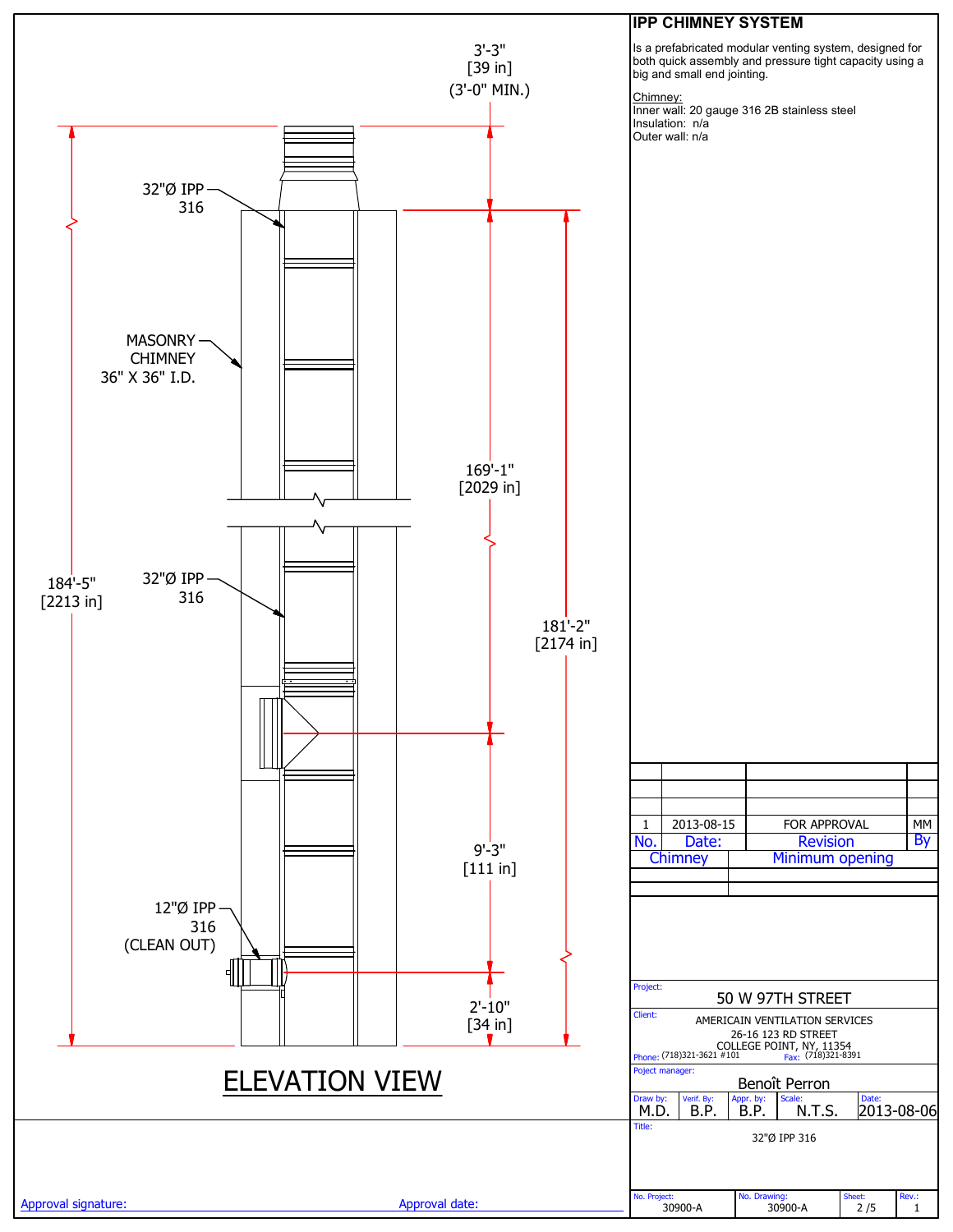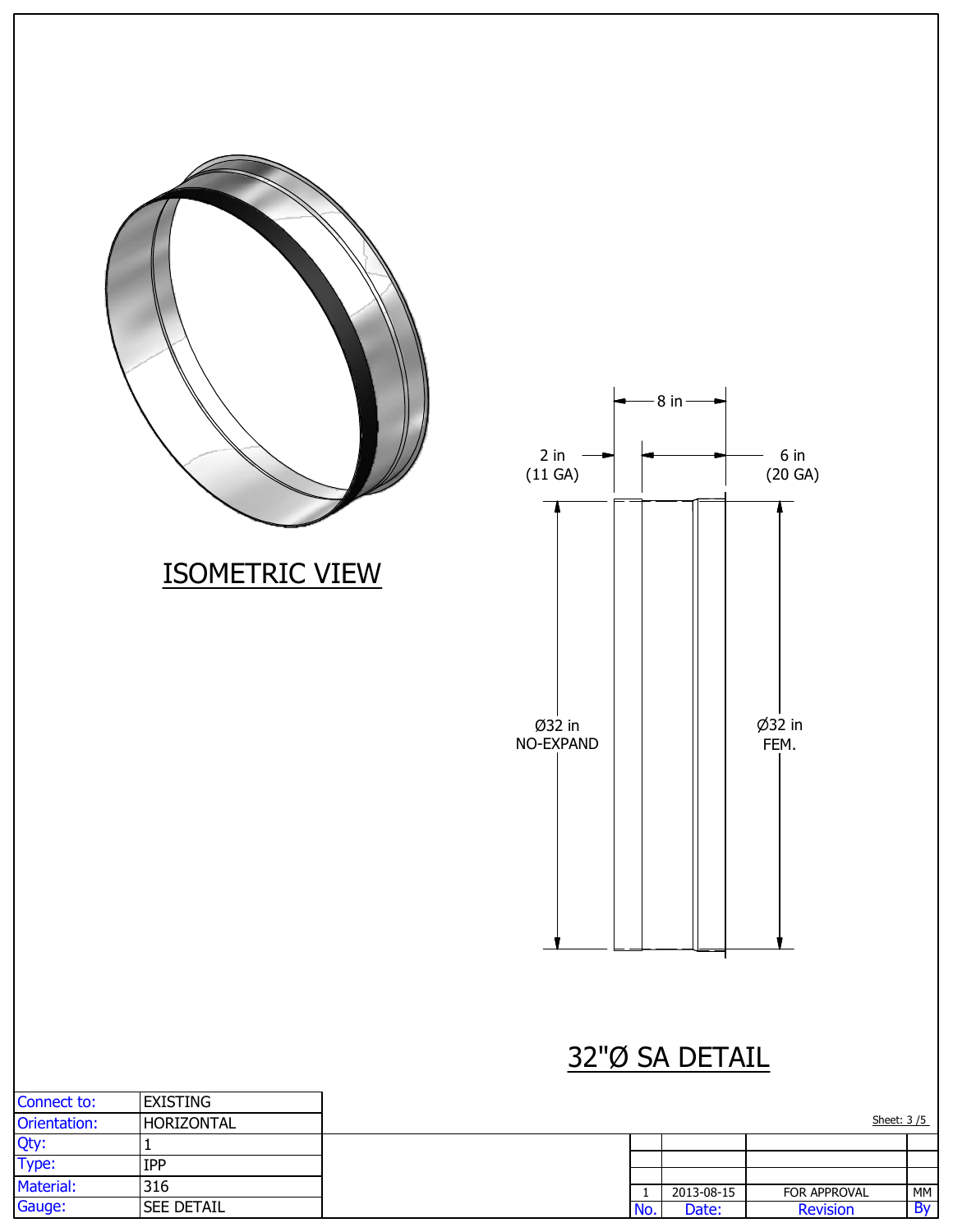|              | <b>ISOMETRIC VIEW</b> | $2$ in<br>(11 GA)   |                |
|--------------|-----------------------|---------------------|----------------|
|              |                       | Ø32 in<br>NO-EXPAND |                |
|              |                       |                     |                |
| Connect to:  | <b>EXISTING</b>       | 32"ØS               |                |
| Orientation: | HORIZONTAL            |                     |                |
| Qty:         | $\mathbf{1}$          |                     |                |
| Type:        | ${\tt IPP}$           |                     |                |
| Material:    | 316                   |                     | $\overline{1}$ |
|              |                       |                     |                |

Gauge:

**SEE DETAIL** 



## SA DETAIL

| Sheet: 3/5 |            |                     |    |  |
|------------|------------|---------------------|----|--|
|            |            |                     |    |  |
|            |            |                     |    |  |
|            |            |                     |    |  |
|            | 2013-08-15 | <b>FOR APPROVAL</b> | MΜ |  |
|            | Date:      | <b>Revision</b>     |    |  |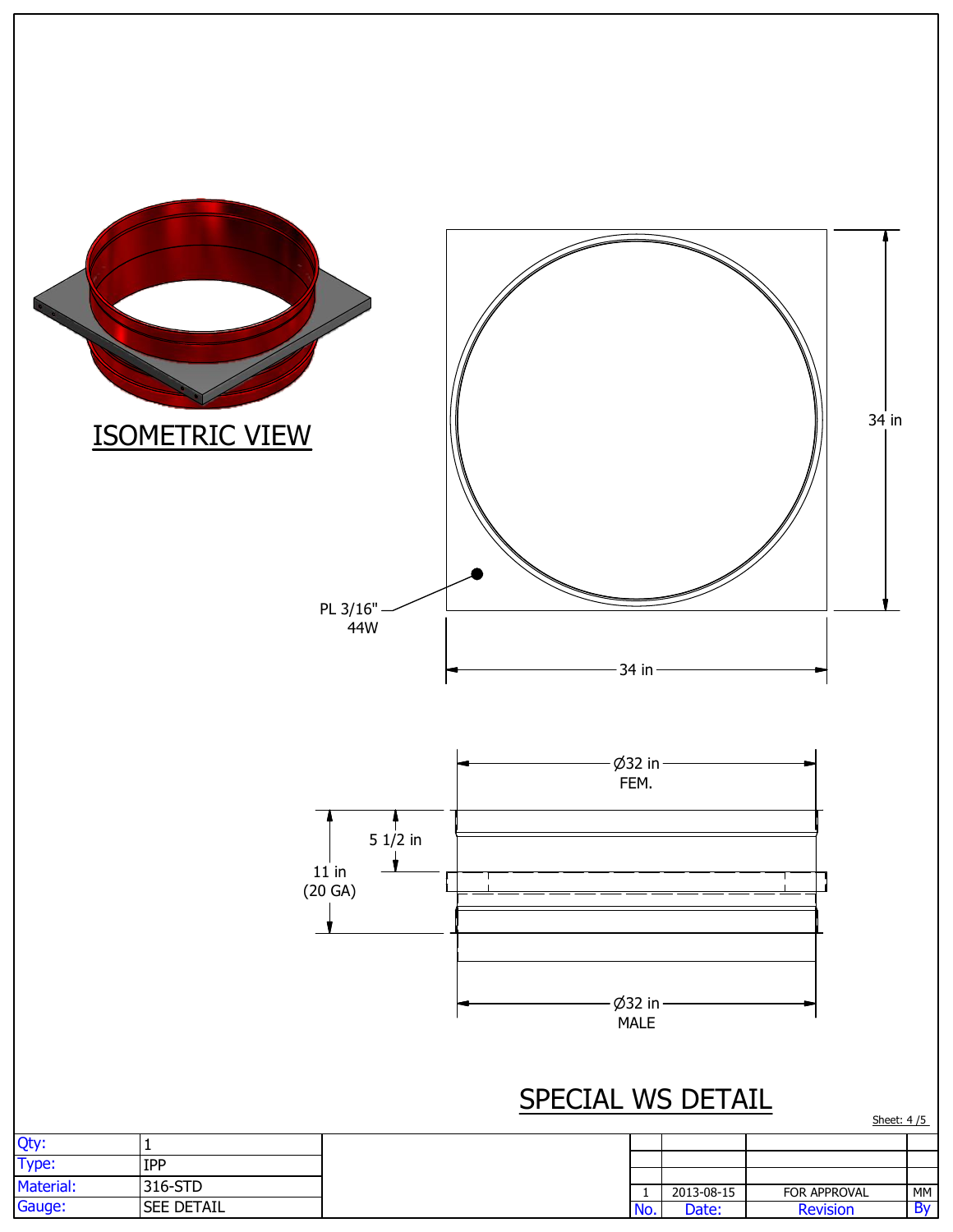